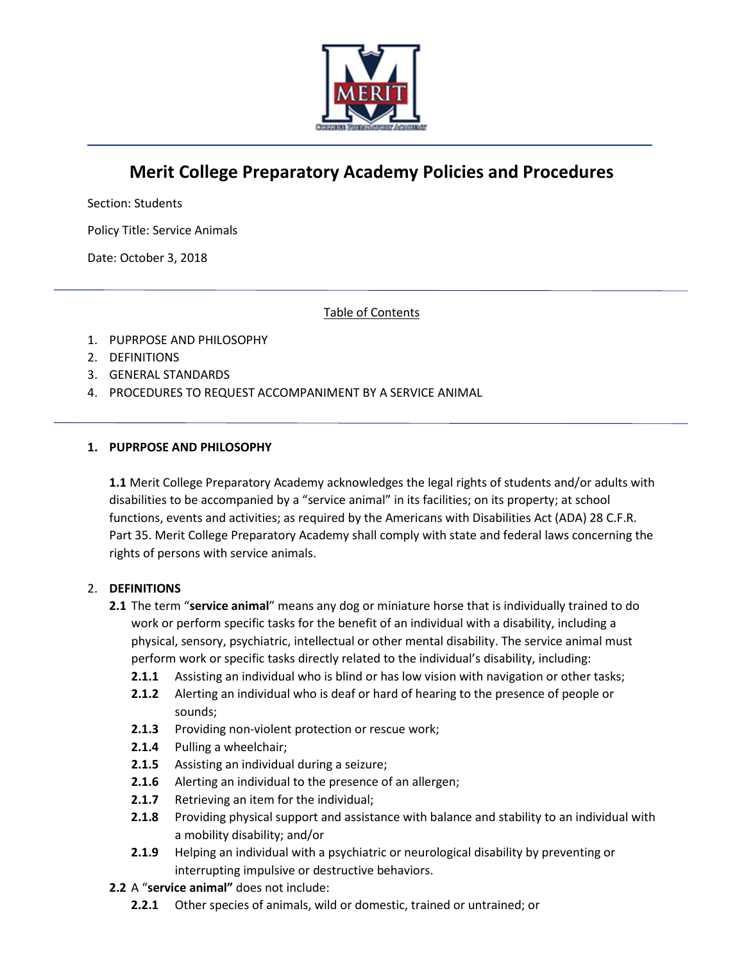

# **Merit College Preparatory Academy Policies and Procedures**

Section: Students

Policy Title: Service Animals

Date: October 3, 2018

Table of Contents

- 1. PUPRPOSE AND PHILOSOPHY
- 2. DEFINITIONS
- 3. GENERAL STANDARDS
- 4. PROCEDURES TO REQUEST ACCOMPANIMENT BY A SERVICE ANIMAL

#### **1. PUPRPOSE AND PHILOSOPHY**

**1.1** Merit College Preparatory Academy acknowledges the legal rights of students and/or adults with disabilities to be accompanied by a "service animal" in its facilities; on its property; at school functions, events and activities; as required by the Americans with Disabilities Act (ADA) 28 C.F.R. Part 35. Merit College Preparatory Academy shall comply with state and federal laws concerning the rights of persons with service animals.

## 2. **DEFINITIONS**

- **2.1** The term "**service animal**" means any dog or miniature horse that is individually trained to do work or perform specific tasks for the benefit of an individual with a disability, including a physical, sensory, psychiatric, intellectual or other mental disability. The service animal must perform work or specific tasks directly related to the individual's disability, including:
	- **2.1.1** Assisting an individual who is blind or has low vision with navigation or other tasks;
	- **2.1.2** Alerting an individual who is deaf or hard of hearing to the presence of people or sounds;
	- **2.1.3** Providing non-violent protection or rescue work;
	- **2.1.4** Pulling a wheelchair;
	- **2.1.5** Assisting an individual during a seizure;
	- **2.1.6** Alerting an individual to the presence of an allergen;
	- **2.1.7** Retrieving an item for the individual;
	- **2.1.8** Providing physical support and assistance with balance and stability to an individual with a mobility disability; and/or
	- **2.1.9** Helping an individual with a psychiatric or neurological disability by preventing or interrupting impulsive or destructive behaviors.
- **2.2** A "**service animal"** does not include:
	- **2.2.1** Other species of animals, wild or domestic, trained or untrained; or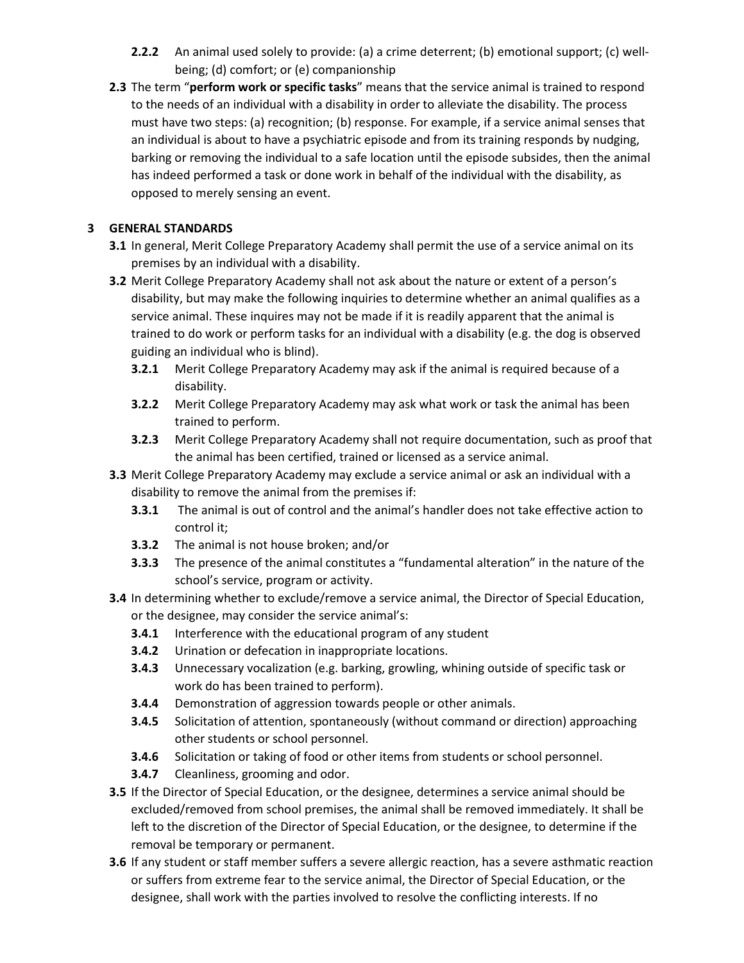- **2.2.2** An animal used solely to provide: (a) a crime deterrent; (b) emotional support; (c) wellbeing; (d) comfort; or (e) companionship
- **2.3** The term "**perform work or specific tasks**" means that the service animal is trained to respond to the needs of an individual with a disability in order to alleviate the disability. The process must have two steps: (a) recognition; (b) response. For example, if a service animal senses that an individual is about to have a psychiatric episode and from its training responds by nudging, barking or removing the individual to a safe location until the episode subsides, then the animal has indeed performed a task or done work in behalf of the individual with the disability, as opposed to merely sensing an event.

## **3 GENERAL STANDARDS**

- **3.1** In general, Merit College Preparatory Academy shall permit the use of a service animal on its premises by an individual with a disability.
- **3.2** Merit College Preparatory Academy shall not ask about the nature or extent of a person's disability, but may make the following inquiries to determine whether an animal qualifies as a service animal. These inquires may not be made if it is readily apparent that the animal is trained to do work or perform tasks for an individual with a disability (e.g. the dog is observed guiding an individual who is blind).
	- **3.2.1** Merit College Preparatory Academy may ask if the animal is required because of a disability.
	- **3.2.2** Merit College Preparatory Academy may ask what work or task the animal has been trained to perform.
	- **3.2.3** Merit College Preparatory Academy shall not require documentation, such as proof that the animal has been certified, trained or licensed as a service animal.
- **3.3** Merit College Preparatory Academy may exclude a service animal or ask an individual with a disability to remove the animal from the premises if:
	- **3.3.1** The animal is out of control and the animal's handler does not take effective action to control it;
	- **3.3.2** The animal is not house broken; and/or
	- **3.3.3** The presence of the animal constitutes a "fundamental alteration" in the nature of the school's service, program or activity.
- **3.4** In determining whether to exclude/remove a service animal, the Director of Special Education, or the designee, may consider the service animal's:
	- **3.4.1** Interference with the educational program of any student
	- **3.4.2** Urination or defecation in inappropriate locations.
	- **3.4.3** Unnecessary vocalization (e.g. barking, growling, whining outside of specific task or work do has been trained to perform).
	- **3.4.4** Demonstration of aggression towards people or other animals.
	- **3.4.5** Solicitation of attention, spontaneously (without command or direction) approaching other students or school personnel.
	- **3.4.6** Solicitation or taking of food or other items from students or school personnel.
	- **3.4.7** Cleanliness, grooming and odor.
- **3.5** If the Director of Special Education, or the designee, determines a service animal should be excluded/removed from school premises, the animal shall be removed immediately. It shall be left to the discretion of the Director of Special Education, or the designee, to determine if the removal be temporary or permanent.
- **3.6** If any student or staff member suffers a severe allergic reaction, has a severe asthmatic reaction or suffers from extreme fear to the service animal, the Director of Special Education, or the designee, shall work with the parties involved to resolve the conflicting interests. If no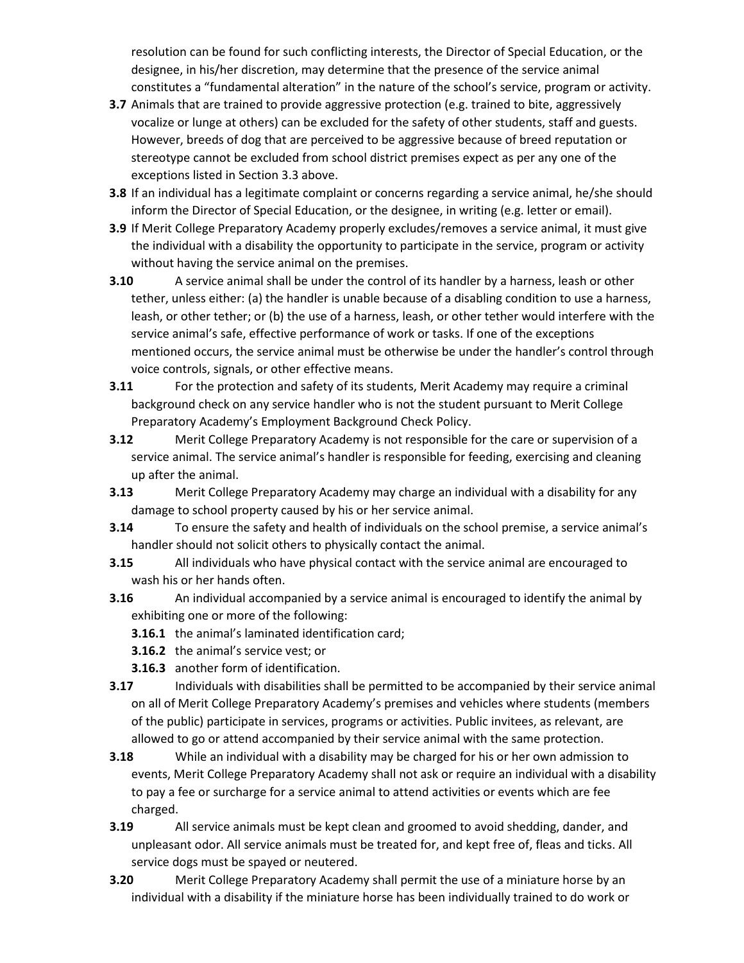resolution can be found for such conflicting interests, the Director of Special Education, or the designee, in his/her discretion, may determine that the presence of the service animal constitutes a "fundamental alteration" in the nature of the school's service, program or activity.

- **3.7** Animals that are trained to provide aggressive protection (e.g. trained to bite, aggressively vocalize or lunge at others) can be excluded for the safety of other students, staff and guests. However, breeds of dog that are perceived to be aggressive because of breed reputation or stereotype cannot be excluded from school district premises expect as per any one of the exceptions listed in Section 3.3 above.
- **3.8** If an individual has a legitimate complaint or concerns regarding a service animal, he/she should inform the Director of Special Education, or the designee, in writing (e.g. letter or email).
- **3.9** If Merit College Preparatory Academy properly excludes/removes a service animal, it must give the individual with a disability the opportunity to participate in the service, program or activity without having the service animal on the premises.
- **3.10** A service animal shall be under the control of its handler by a harness, leash or other tether, unless either: (a) the handler is unable because of a disabling condition to use a harness, leash, or other tether; or (b) the use of a harness, leash, or other tether would interfere with the service animal's safe, effective performance of work or tasks. If one of the exceptions mentioned occurs, the service animal must be otherwise be under the handler's control through voice controls, signals, or other effective means.
- **3.11** For the protection and safety of its students, Merit Academy may require a criminal background check on any service handler who is not the student pursuant to Merit College Preparatory Academy's Employment Background Check Policy.
- **3.12** Merit College Preparatory Academy is not responsible for the care or supervision of a service animal. The service animal's handler is responsible for feeding, exercising and cleaning up after the animal.
- **3.13** Merit College Preparatory Academy may charge an individual with a disability for any damage to school property caused by his or her service animal.
- **3.14** To ensure the safety and health of individuals on the school premise, a service animal's handler should not solicit others to physically contact the animal.
- **3.15** All individuals who have physical contact with the service animal are encouraged to wash his or her hands often.
- **3.16** An individual accompanied by a service animal is encouraged to identify the animal by exhibiting one or more of the following:
	- **3.16.1** the animal's laminated identification card;
	- **3.16.2** the animal's service vest; or
	- **3.16.3** another form of identification.
- **3.17** Individuals with disabilities shall be permitted to be accompanied by their service animal on all of Merit College Preparatory Academy's premises and vehicles where students (members of the public) participate in services, programs or activities. Public invitees, as relevant, are allowed to go or attend accompanied by their service animal with the same protection.
- **3.18** While an individual with a disability may be charged for his or her own admission to events, Merit College Preparatory Academy shall not ask or require an individual with a disability to pay a fee or surcharge for a service animal to attend activities or events which are fee charged.
- **3.19** All service animals must be kept clean and groomed to avoid shedding, dander, and unpleasant odor. All service animals must be treated for, and kept free of, fleas and ticks. All service dogs must be spayed or neutered.
- **3.20** Merit College Preparatory Academy shall permit the use of a miniature horse by an individual with a disability if the miniature horse has been individually trained to do work or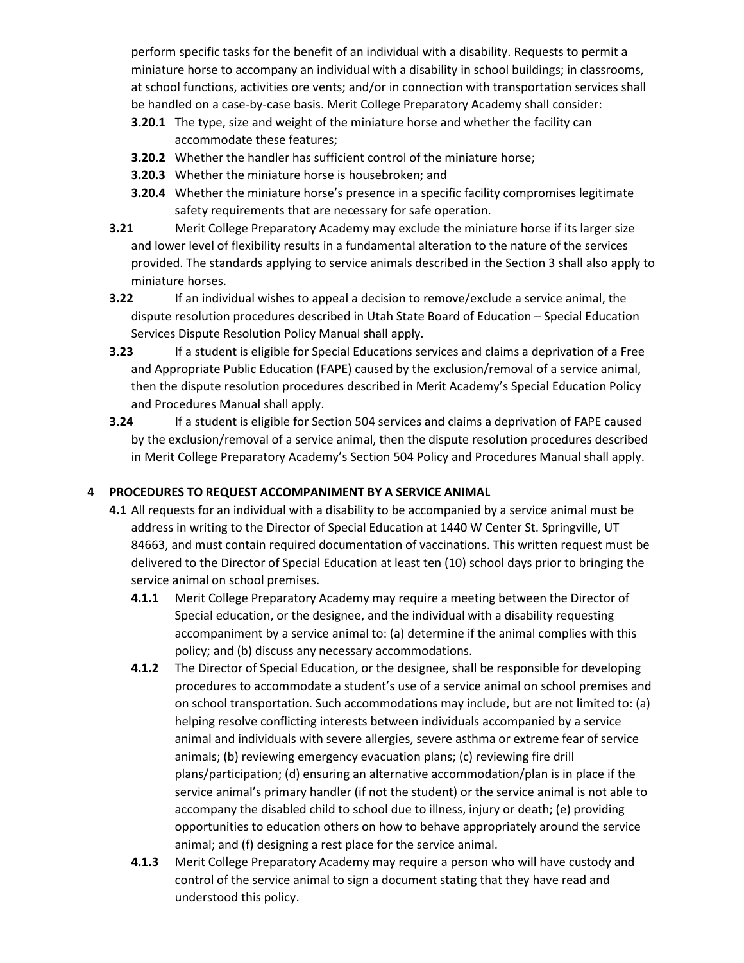perform specific tasks for the benefit of an individual with a disability. Requests to permit a miniature horse to accompany an individual with a disability in school buildings; in classrooms, at school functions, activities ore vents; and/or in connection with transportation services shall be handled on a case-by-case basis. Merit College Preparatory Academy shall consider:

- **3.20.1** The type, size and weight of the miniature horse and whether the facility can accommodate these features;
- **3.20.2** Whether the handler has sufficient control of the miniature horse;
- **3.20.3** Whether the miniature horse is housebroken; and
- **3.20.4** Whether the miniature horse's presence in a specific facility compromises legitimate safety requirements that are necessary for safe operation.
- **3.21** Merit College Preparatory Academy may exclude the miniature horse if its larger size and lower level of flexibility results in a fundamental alteration to the nature of the services provided. The standards applying to service animals described in the Section 3 shall also apply to miniature horses.
- **3.22** If an individual wishes to appeal a decision to remove/exclude a service animal, the dispute resolution procedures described in Utah State Board of Education – Special Education Services Dispute Resolution Policy Manual shall apply.
- **3.23** If a student is eligible for Special Educations services and claims a deprivation of a Free and Appropriate Public Education (FAPE) caused by the exclusion/removal of a service animal, then the dispute resolution procedures described in Merit Academy's Special Education Policy and Procedures Manual shall apply.
- **3.24** If a student is eligible for Section 504 services and claims a deprivation of FAPE caused by the exclusion/removal of a service animal, then the dispute resolution procedures described in Merit College Preparatory Academy's Section 504 Policy and Procedures Manual shall apply.

## **4 PROCEDURES TO REQUEST ACCOMPANIMENT BY A SERVICE ANIMAL**

- **4.1** All requests for an individual with a disability to be accompanied by a service animal must be address in writing to the Director of Special Education at 1440 W Center St. Springville, UT 84663, and must contain required documentation of vaccinations. This written request must be delivered to the Director of Special Education at least ten (10) school days prior to bringing the service animal on school premises.
	- **4.1.1** Merit College Preparatory Academy may require a meeting between the Director of Special education, or the designee, and the individual with a disability requesting accompaniment by a service animal to: (a) determine if the animal complies with this policy; and (b) discuss any necessary accommodations.
	- **4.1.2** The Director of Special Education, or the designee, shall be responsible for developing procedures to accommodate a student's use of a service animal on school premises and on school transportation. Such accommodations may include, but are not limited to: (a) helping resolve conflicting interests between individuals accompanied by a service animal and individuals with severe allergies, severe asthma or extreme fear of service animals; (b) reviewing emergency evacuation plans; (c) reviewing fire drill plans/participation; (d) ensuring an alternative accommodation/plan is in place if the service animal's primary handler (if not the student) or the service animal is not able to accompany the disabled child to school due to illness, injury or death; (e) providing opportunities to education others on how to behave appropriately around the service animal; and (f) designing a rest place for the service animal.
	- **4.1.3** Merit College Preparatory Academy may require a person who will have custody and control of the service animal to sign a document stating that they have read and understood this policy.